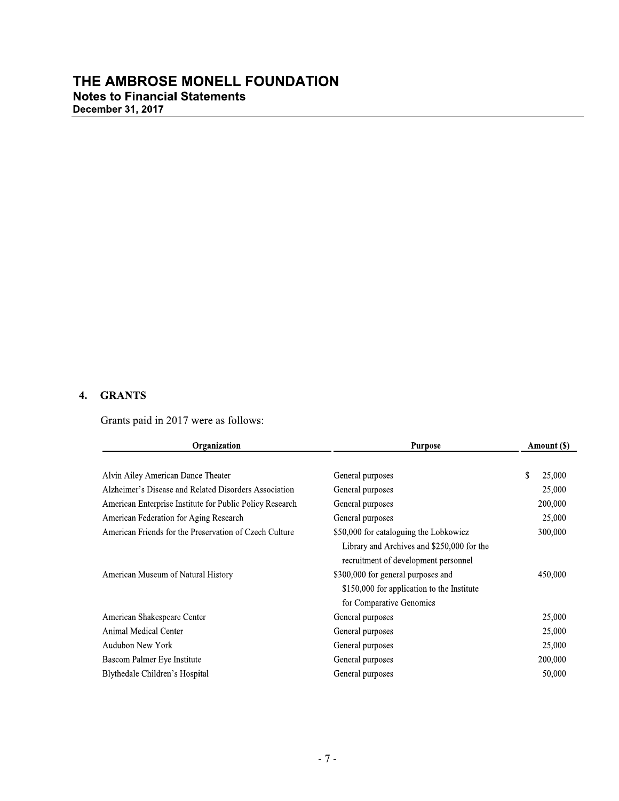#### 4. GRANTS

Grants paid in 2017 were as follows:

| Organization                                             | <b>Purpose</b>                             | Amount (\$)  |
|----------------------------------------------------------|--------------------------------------------|--------------|
|                                                          |                                            |              |
| Alvin Ailey American Dance Theater                       | General purposes                           | \$<br>25,000 |
| Alzheimer's Disease and Related Disorders Association    | General purposes                           | 25,000       |
| American Enterprise Institute for Public Policy Research | General purposes                           | 200,000      |
| American Federation for Aging Research                   | General purposes                           | 25,000       |
| American Friends for the Preservation of Czech Culture   | \$50,000 for cataloguing the Lobkowicz     | 300,000      |
|                                                          | Library and Archives and \$250,000 for the |              |
|                                                          | recruitment of development personnel       |              |
| American Museum of Natural History                       | \$300,000 for general purposes and         | 450,000      |
|                                                          | \$150,000 for application to the Institute |              |
|                                                          | for Comparative Genomics                   |              |
| American Shakespeare Center                              | General purposes                           | 25,000       |
| Animal Medical Center                                    | General purposes                           | 25,000       |
| <b>Audubon New York</b>                                  | General purposes                           | 25,000       |
| Bascom Palmer Eye Institute                              | General purposes                           | 200,000      |
| Blythedale Children's Hospital                           | General purposes                           | 50,000       |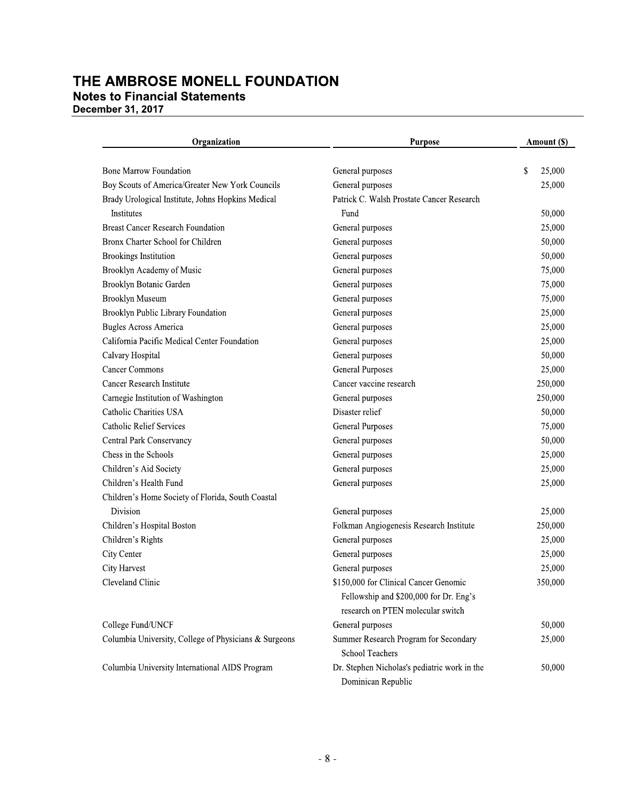Organization **Purpose** Amount (\$) General purposes \$ 25,000 **Bone Marrow Foundation** Boy Scouts of America/Greater New York Councils 25,000 General purposes Brady Urological Institute, Johns Hopkins Medical Patrick C. Walsh Prostate Cancer Research Fund 50,000 Institutes **Breast Cancer Research Foundation** General purposes 25,000 Bronx Charter School for Children General purposes 50,000 **Brookings Institution** General purposes 50,000 Brooklyn Academy of Music General purposes 75,000 Brooklyn Botanic Garden General purposes 75,000 75,000 **Brooklyn Museum** General purposes Brooklyn Public Library Foundation General purposes 25,000 **Bugles Across America** General purposes 25,000 California Pacific Medical Center Foundation General purposes 25,000 Calvary Hospital General purposes 50,000 **Cancer Commons General Purposes** 25,000 250,000 Cancer Research Institute Cancer vaccine research Carnegie Institution of Washington General purposes 250,000 Catholic Charities USA Disaster relief 50,000 75,000 **Catholic Relief Services General Purposes** 50,000 Central Park Conservancy General purposes Chess in the Schools General purposes 25,000 25,000 Children's Aid Society General purposes General purposes 25,000 Children's Health Fund Children's Home Society of Florida, South Coastal Division 25,000 General purposes Children's Hospital Boston Folkman Angiogenesis Research Institute 250,000 Children's Rights General purposes 25,000 City Center General purposes 25,000 25,000 City Harvest General purposes Cleveland Clinic \$150,000 for Clinical Cancer Genomic 350,000 Fellowship and \$200,000 for Dr. Eng's research on PTEN molecular switch College Fund/UNCF General purposes 50,000 Columbia University, College of Physicians & Surgeons Summer Research Program for Secondary 25,000 **School Teachers** 

Columbia University International AIDS Program

Dr. Stephen Nicholas's pediatric work in the

Dominican Republic

50,000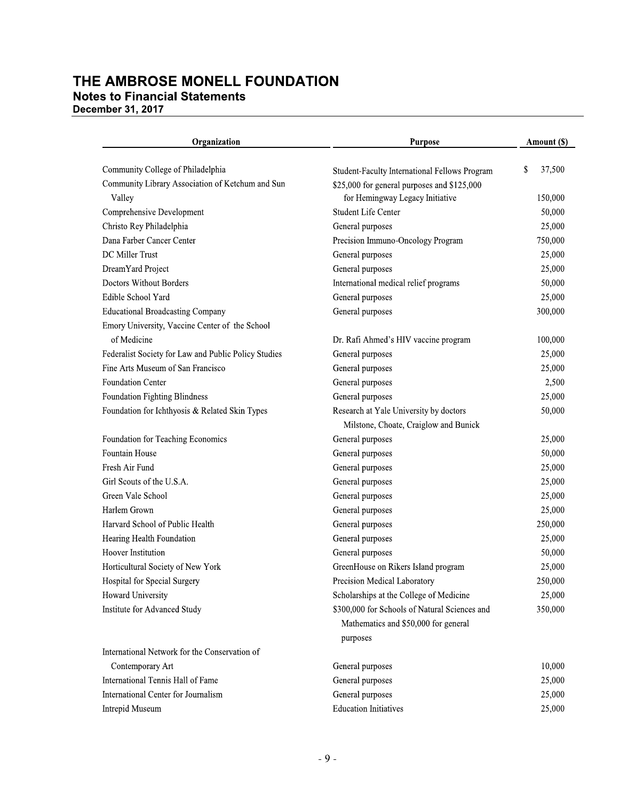| Organization                                         | <b>Purpose</b>                                | Amount (\$)  |
|------------------------------------------------------|-----------------------------------------------|--------------|
| Community College of Philadelphia                    | Student-Faculty International Fellows Program | \$<br>37,500 |
| Community Library Association of Ketchum and Sun     | \$25,000 for general purposes and \$125,000   |              |
| Valley                                               | for Hemingway Legacy Initiative               | 150,000      |
| Comprehensive Development                            | Student Life Center                           | 50,000       |
| Christo Rey Philadelphia                             | General purposes                              | 25,000       |
| Dana Farber Cancer Center                            | Precision Immuno-Oncology Program             | 750,000      |
| DC Miller Trust                                      | General purposes                              | 25,000       |
| DreamYard Project                                    | General purposes                              | 25,000       |
| Doctors Without Borders                              | International medical relief programs         | 50,000       |
| Edible School Yard                                   | General purposes                              | 25,000       |
| <b>Educational Broadcasting Company</b>              | General purposes                              | 300,000      |
| Emory University, Vaccine Center of the School       |                                               |              |
| of Medicine                                          | Dr. Rafi Ahmed's HIV vaccine program          | 100,000      |
| Federalist Society for Law and Public Policy Studies | General purposes                              | 25,000       |
| Fine Arts Museum of San Francisco                    | General purposes                              | 25,000       |
| <b>Foundation Center</b>                             | General purposes                              | 2,500        |
| <b>Foundation Fighting Blindness</b>                 | General purposes                              | 25,000       |
| Foundation for Ichthyosis & Related Skin Types       | Research at Yale University by doctors        | 50,000       |
|                                                      | Milstone, Choate, Craiglow and Bunick         |              |
| Foundation for Teaching Economics                    | General purposes                              | 25,000       |
| Fountain House                                       | General purposes                              | 50,000       |
| Fresh Air Fund                                       | General purposes                              | 25,000       |
| Girl Scouts of the U.S.A.                            | General purposes                              | 25,000       |
| Green Vale School                                    | General purposes                              | 25,000       |
| Harlem Grown                                         | General purposes                              | 25,000       |
| Harvard School of Public Health                      | General purposes                              | 250,000      |
| Hearing Health Foundation                            | General purposes                              | 25,000       |
| Hoover Institution                                   | General purposes                              | 50,000       |
| Horticultural Society of New York                    | GreenHouse on Rikers Island program           | 25,000       |
| Hospital for Special Surgery                         | Precision Medical Laboratory                  | 250,000      |
| Howard University                                    | Scholarships at the College of Medicine       | 25,000       |
| Institute for Advanced Study                         | \$300,000 for Schools of Natural Sciences and | 350,000      |
|                                                      | Mathematics and \$50,000 for general          |              |
|                                                      | purposes                                      |              |
| International Network for the Conservation of        |                                               |              |
| Contemporary Art                                     | General purposes                              | 10,000       |
| International Tennis Hall of Fame                    | General purposes                              | 25,000       |
| International Center for Journalism                  | General purposes                              | 25,000       |
| Intrepid Museum                                      | <b>Education Initiatives</b>                  | 25,000       |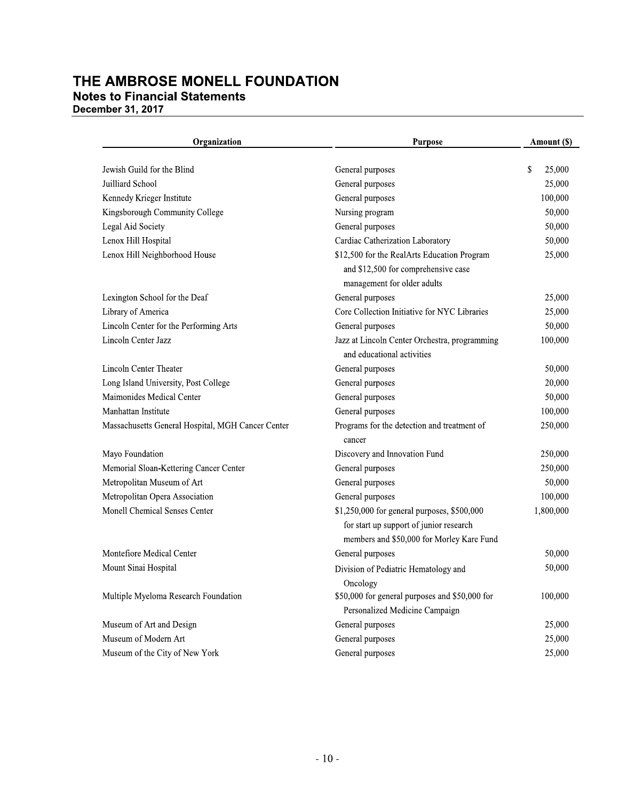| Organization                                      | <b>Purpose</b>                                                                                                                      | Amount (\$)  |
|---------------------------------------------------|-------------------------------------------------------------------------------------------------------------------------------------|--------------|
| Jewish Guild for the Blind                        | General purposes                                                                                                                    | \$<br>25,000 |
| Juilliard School                                  | General purposes                                                                                                                    | 25,000       |
| Kennedy Krieger Institute                         | General purposes                                                                                                                    | 100,000      |
| Kingsborough Community College                    | Nursing program                                                                                                                     | 50,000       |
| Legal Aid Society                                 | General purposes                                                                                                                    | 50,000       |
| Lenox Hill Hospital                               | Cardiac Catherization Laboratory                                                                                                    | 50,000       |
| Lenox Hill Neighborhood House                     | \$12,500 for the RealArts Education Program<br>and \$12,500 for comprehensive case<br>management for older adults                   | 25,000       |
| Lexington School for the Deaf                     | General purposes                                                                                                                    | 25,000       |
| Library of America                                | Core Collection Initiative for NYC Libraries                                                                                        | 25,000       |
| Lincoln Center for the Performing Arts            | General purposes                                                                                                                    | 50,000       |
| Lincoln Center Jazz                               | Jazz at Lincoln Center Orchestra, programming<br>and educational activities                                                         | 100,000      |
| Lincoln Center Theater                            | General purposes                                                                                                                    | 50,000       |
| Long Island University, Post College              | General purposes                                                                                                                    | 20,000       |
| Maimonides Medical Center                         | General purposes                                                                                                                    | 50,000       |
| Manhattan Institute                               | General purposes                                                                                                                    | 100,000      |
| Massachusetts General Hospital, MGH Cancer Center | Programs for the detection and treatment of<br>cancer                                                                               | 250,000      |
| Mayo Foundation                                   | Discovery and Innovation Fund                                                                                                       | 250,000      |
| Memorial Sloan-Kettering Cancer Center            | General purposes                                                                                                                    | 250,000      |
| Metropolitan Museum of Art                        | General purposes                                                                                                                    | 50,000       |
| Metropolitan Opera Association                    | General purposes                                                                                                                    | 100,000      |
| Monell Chemical Senses Center                     | \$1,250,000 for general purposes, \$500,000<br>for start up support of junior research<br>members and \$50,000 for Morley Kare Fund | 1,800,000    |
| Montefiore Medical Center                         | General purposes                                                                                                                    | 50,000       |
| Mount Sinai Hospital                              | Division of Pediatric Hematology and<br>Oncology                                                                                    | 50,000       |
| Multiple Myeloma Research Foundation              | \$50,000 for general purposes and \$50,000 for<br>Personalized Medicine Campaign                                                    | 100,000      |
| Museum of Art and Design                          | General purposes                                                                                                                    | 25,000       |
| Museum of Modern Art                              | General purposes                                                                                                                    | 25,000       |
| Museum of the City of New York                    | General purposes                                                                                                                    | 25,000       |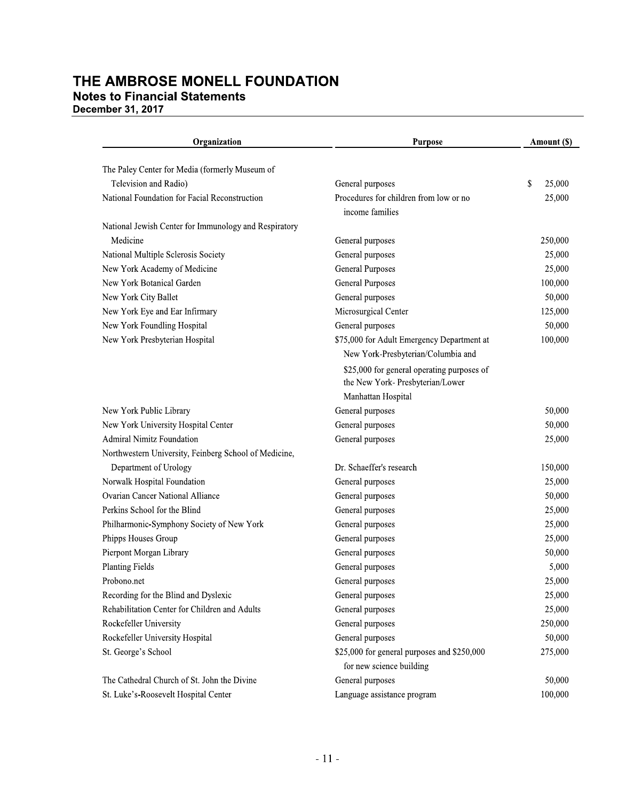**December 31, 2017** 

| Organization                                          | <b>Purpose</b>                                                                                       | Amount (\$)  |
|-------------------------------------------------------|------------------------------------------------------------------------------------------------------|--------------|
| The Paley Center for Media (formerly Museum of        |                                                                                                      |              |
| Television and Radio)                                 | General purposes                                                                                     | \$<br>25,000 |
| National Foundation for Facial Reconstruction         | Procedures for children from low or no<br>income families                                            | 25,000       |
| National Jewish Center for Immunology and Respiratory |                                                                                                      |              |
| Medicine                                              | General purposes                                                                                     | 250,000      |
| National Multiple Sclerosis Society                   | General purposes                                                                                     | 25,000       |
| New York Academy of Medicine                          | <b>General Purposes</b>                                                                              | 25,000       |
| New York Botanical Garden                             | <b>General Purposes</b>                                                                              | 100,000      |
| New York City Ballet                                  | General purposes                                                                                     | 50,000       |
| New York Eye and Ear Infirmary                        | Microsurgical Center                                                                                 | 125,000      |
| New York Foundling Hospital                           | General purposes                                                                                     | 50,000       |
| New York Presbyterian Hospital                        | \$75,000 for Adult Emergency Department at<br>New York-Presbyterian/Columbia and                     | 100,000      |
|                                                       | \$25,000 for general operating purposes of<br>the New York- Presbyterian/Lower<br>Manhattan Hospital |              |
| New York Public Library                               | General purposes                                                                                     | 50,000       |
| New York University Hospital Center                   | General purposes                                                                                     | 50,000       |
| <b>Admiral Nimitz Foundation</b>                      | General purposes                                                                                     | 25,000       |
| Northwestern University, Feinberg School of Medicine, |                                                                                                      |              |
| Department of Urology                                 | Dr. Schaeffer's research                                                                             | 150,000      |
| Norwalk Hospital Foundation                           | General purposes                                                                                     | 25,000       |
| <b>Ovarian Cancer National Alliance</b>               | General purposes                                                                                     | 50,000       |
| Perkins School for the Blind                          | General purposes                                                                                     | 25,000       |
| Philharmonic-Symphony Society of New York             | General purposes                                                                                     | 25,000       |
| Phipps Houses Group                                   | General purposes                                                                                     | 25,000       |
| Pierpont Morgan Library                               | General purposes                                                                                     | 50,000       |
| <b>Planting Fields</b>                                | General purposes                                                                                     | 5,000        |
| Probono.net                                           | General purposes                                                                                     | 25,000       |
| Recording for the Blind and Dyslexic                  | General purposes                                                                                     | 25,000       |
| Rehabilitation Center for Children and Adults         | General purposes                                                                                     | 25,000       |
| Rockefeller University                                | General purposes                                                                                     | 250,000      |
| Rockefeller University Hospital                       | General purposes                                                                                     | 50,000       |
| St. George's School                                   | \$25,000 for general purposes and \$250,000<br>for new science building                              | 275,000      |
| The Cathedral Church of St. John the Divine           | General purposes                                                                                     | 50,000       |
| St. Luke's-Roosevelt Hospital Center                  | Language assistance program                                                                          | 100,000      |
|                                                       |                                                                                                      |              |